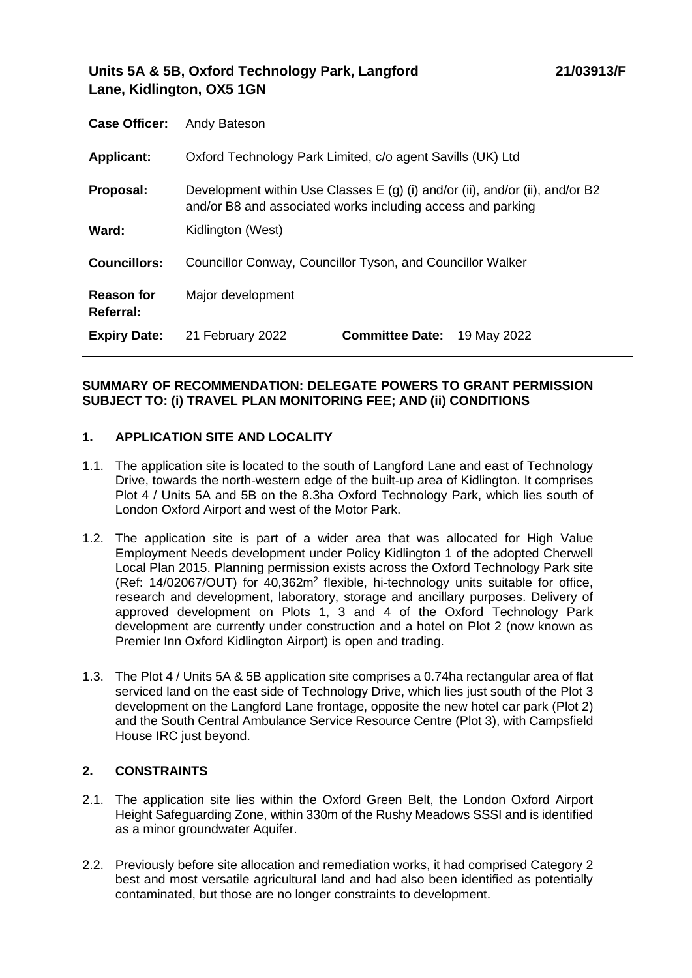# **Units 5A & 5B, Oxford Technology Park, Langford Lane, Kidlington, OX5 1GN**

| <b>Case Officer:</b>           | Andy Bateson                                                                                                                                 |  |
|--------------------------------|----------------------------------------------------------------------------------------------------------------------------------------------|--|
| <b>Applicant:</b>              | Oxford Technology Park Limited, c/o agent Savills (UK) Ltd                                                                                   |  |
| Proposal:                      | Development within Use Classes $E(g)$ (i) and/or (ii), and/or (ii), and/or B2<br>and/or B8 and associated works including access and parking |  |
| Ward:                          | Kidlington (West)                                                                                                                            |  |
| Councillors:                   | Councillor Conway, Councillor Tyson, and Councillor Walker                                                                                   |  |
| <b>Reason for</b><br>Referral: | Major development                                                                                                                            |  |
| <b>Expiry Date:</b>            | <b>Committee Date: 19 May 2022</b><br>21 February 2022                                                                                       |  |

## **SUMMARY OF RECOMMENDATION: DELEGATE POWERS TO GRANT PERMISSION SUBJECT TO: (i) TRAVEL PLAN MONITORING FEE; AND (ii) CONDITIONS**

# **1. APPLICATION SITE AND LOCALITY**

- 1.1. The application site is located to the south of Langford Lane and east of Technology Drive, towards the north-western edge of the built-up area of Kidlington. It comprises Plot 4 / Units 5A and 5B on the 8.3ha Oxford Technology Park, which lies south of London Oxford Airport and west of the Motor Park.
- 1.2. The application site is part of a wider area that was allocated for High Value Employment Needs development under Policy Kidlington 1 of the adopted Cherwell Local Plan 2015. Planning permission exists across the Oxford Technology Park site (Ref: 14/02067/OUT) for 40,362m<sup>2</sup> flexible, hi-technology units suitable for office, research and development, laboratory, storage and ancillary purposes. Delivery of approved development on Plots 1, 3 and 4 of the Oxford Technology Park development are currently under construction and a hotel on Plot 2 (now known as Premier Inn Oxford Kidlington Airport) is open and trading.
- 1.3. The Plot 4 / Units 5A & 5B application site comprises a 0.74ha rectangular area of flat serviced land on the east side of Technology Drive, which lies just south of the Plot 3 development on the Langford Lane frontage, opposite the new hotel car park (Plot 2) and the South Central Ambulance Service Resource Centre (Plot 3), with Campsfield House IRC just beyond.

# **2. CONSTRAINTS**

- 2.1. The application site lies within the Oxford Green Belt, the London Oxford Airport Height Safeguarding Zone, within 330m of the Rushy Meadows SSSI and is identified as a minor groundwater Aquifer.
- 2.2. Previously before site allocation and remediation works, it had comprised Category 2 best and most versatile agricultural land and had also been identified as potentially contaminated, but those are no longer constraints to development.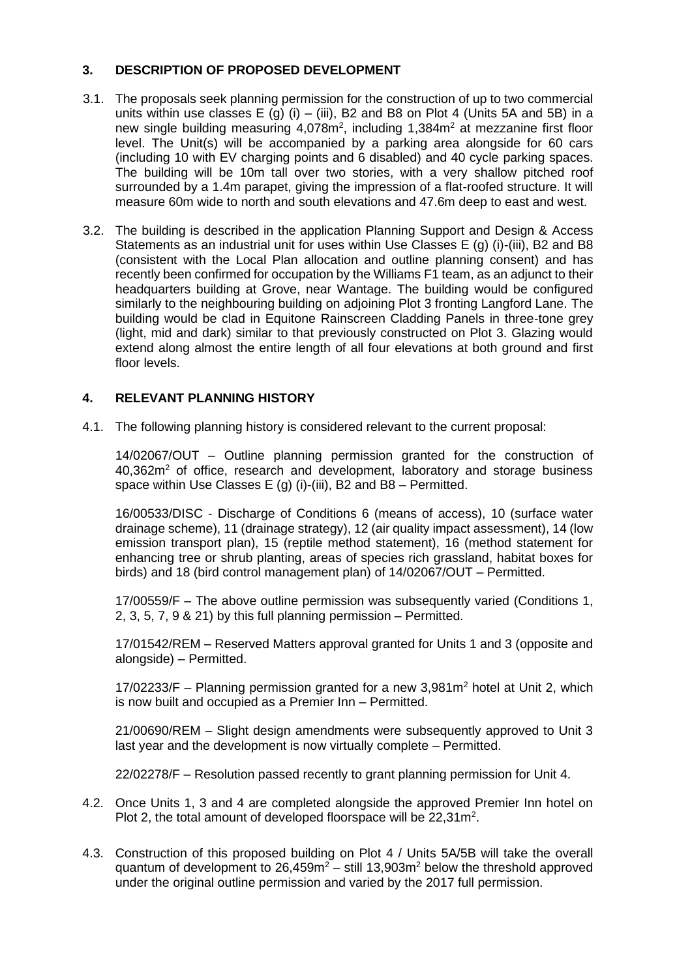# **3. DESCRIPTION OF PROPOSED DEVELOPMENT**

- 3.1. The proposals seek planning permission for the construction of up to two commercial units within use classes E (g) (i) – (iii), B2 and B8 on Plot 4 (Units 5A and 5B) in a new single building measuring  $4,078$ m<sup>2</sup>, including  $1,384$ m<sup>2</sup> at mezzanine first floor level. The Unit(s) will be accompanied by a parking area alongside for 60 cars (including 10 with EV charging points and 6 disabled) and 40 cycle parking spaces. The building will be 10m tall over two stories, with a very shallow pitched roof surrounded by a 1.4m parapet, giving the impression of a flat-roofed structure. It will measure 60m wide to north and south elevations and 47.6m deep to east and west.
- 3.2. The building is described in the application Planning Support and Design & Access Statements as an industrial unit for uses within Use Classes E (g) (i)-(iii), B2 and B8 (consistent with the Local Plan allocation and outline planning consent) and has recently been confirmed for occupation by the Williams F1 team, as an adjunct to their headquarters building at Grove, near Wantage. The building would be configured similarly to the neighbouring building on adjoining Plot 3 fronting Langford Lane. The building would be clad in Equitone Rainscreen Cladding Panels in three-tone grey (light, mid and dark) similar to that previously constructed on Plot 3. Glazing would extend along almost the entire length of all four elevations at both ground and first floor levels.

# **4. RELEVANT PLANNING HISTORY**

4.1. The following planning history is considered relevant to the current proposal:

14/02067/OUT – Outline planning permission granted for the construction of 40,362m<sup>2</sup> of office, research and development, laboratory and storage business space within Use Classes E (g) (i)-(iii), B2 and B8 – Permitted.

16/00533/DISC - Discharge of Conditions 6 (means of access), 10 (surface water drainage scheme), 11 (drainage strategy), 12 (air quality impact assessment), 14 (low emission transport plan), 15 (reptile method statement), 16 (method statement for enhancing tree or shrub planting, areas of species rich grassland, habitat boxes for birds) and 18 (bird control management plan) of 14/02067/OUT – Permitted.

17/00559/F – The above outline permission was subsequently varied (Conditions 1, 2, 3, 5, 7, 9 & 21) by this full planning permission – Permitted.

17/01542/REM – Reserved Matters approval granted for Units 1 and 3 (opposite and alongside) – Permitted.

17/02233/F – Planning permission granted for a new 3,981m<sup>2</sup> hotel at Unit 2, which is now built and occupied as a Premier Inn – Permitted.

21/00690/REM – Slight design amendments were subsequently approved to Unit 3 last year and the development is now virtually complete – Permitted.

22/02278/F – Resolution passed recently to grant planning permission for Unit 4.

- 4.2. Once Units 1, 3 and 4 are completed alongside the approved Premier Inn hotel on Plot 2, the total amount of developed floorspace will be  $22,31 \text{ m}^2$ .
- 4.3. Construction of this proposed building on Plot 4 / Units 5A/5B will take the overall quantum of development to  $26,459m^2$  – still 13,903m<sup>2</sup> below the threshold approved under the original outline permission and varied by the 2017 full permission.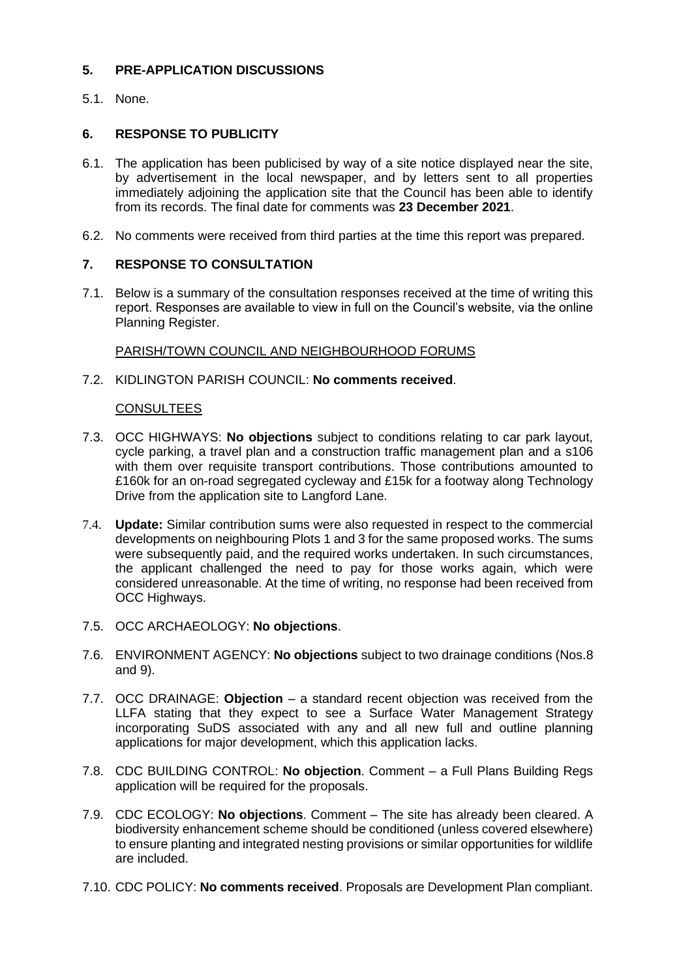# **5. PRE-APPLICATION DISCUSSIONS**

5.1. None.

# **6. RESPONSE TO PUBLICITY**

- 6.1. The application has been publicised by way of a site notice displayed near the site, by advertisement in the local newspaper, and by letters sent to all properties immediately adjoining the application site that the Council has been able to identify from its records. The final date for comments was **23 December 2021**.
- 6.2. No comments were received from third parties at the time this report was prepared.

## **7. RESPONSE TO CONSULTATION**

7.1. Below is a summary of the consultation responses received at the time of writing this report. Responses are available to view in full on the Council's website, via the online Planning Register.

## PARISH/TOWN COUNCIL AND NEIGHBOURHOOD FORUMS

7.2. KIDLINGTON PARISH COUNCIL: **No comments received**.

## CONSULTEES

- 7.3. OCC HIGHWAYS: **No objections** subject to conditions relating to car park layout, cycle parking, a travel plan and a construction traffic management plan and a s106 with them over requisite transport contributions. Those contributions amounted to £160k for an on-road segregated cycleway and £15k for a footway along Technology Drive from the application site to Langford Lane.
- 7.4. **Update:** Similar contribution sums were also requested in respect to the commercial developments on neighbouring Plots 1 and 3 for the same proposed works. The sums were subsequently paid, and the required works undertaken. In such circumstances, the applicant challenged the need to pay for those works again, which were considered unreasonable. At the time of writing, no response had been received from OCC Highways.
- 7.5. OCC ARCHAEOLOGY: **No objections**.
- 7.6. ENVIRONMENT AGENCY: **No objections** subject to two drainage conditions (Nos.8 and 9).
- 7.7. OCC DRAINAGE: **Objection** a standard recent objection was received from the LLFA stating that they expect to see a Surface Water Management Strategy incorporating SuDS associated with any and all new full and outline planning applications for major development, which this application lacks.
- 7.8. CDC BUILDING CONTROL: **No objection**. Comment a Full Plans Building Regs application will be required for the proposals.
- 7.9. CDC ECOLOGY: **No objections**. Comment The site has already been cleared. A biodiversity enhancement scheme should be conditioned (unless covered elsewhere) to ensure planting and integrated nesting provisions or similar opportunities for wildlife are included.
- 7.10. CDC POLICY: **No comments received**. Proposals are Development Plan compliant.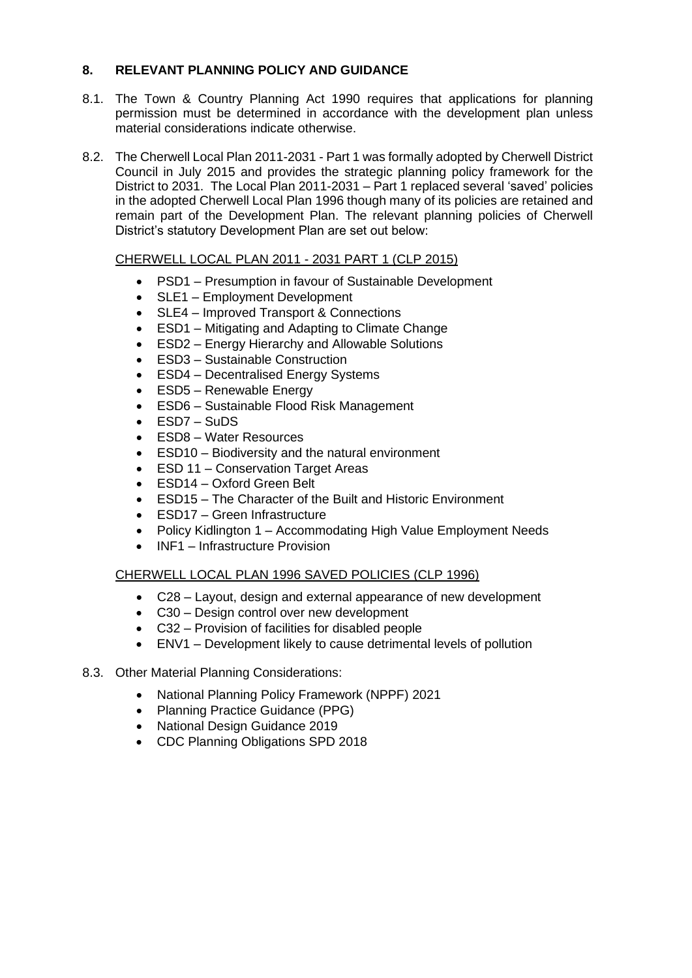# **8. RELEVANT PLANNING POLICY AND GUIDANCE**

- 8.1. The Town & Country Planning Act 1990 requires that applications for planning permission must be determined in accordance with the development plan unless material considerations indicate otherwise.
- 8.2. The Cherwell Local Plan 2011-2031 Part 1 was formally adopted by Cherwell District Council in July 2015 and provides the strategic planning policy framework for the District to 2031. The Local Plan 2011-2031 – Part 1 replaced several 'saved' policies in the adopted Cherwell Local Plan 1996 though many of its policies are retained and remain part of the Development Plan. The relevant planning policies of Cherwell District's statutory Development Plan are set out below:

## CHERWELL LOCAL PLAN 2011 - 2031 PART 1 (CLP 2015)

- PSD1 Presumption in favour of Sustainable Development
- SLE1 Employment Development
- SLE4 Improved Transport & Connections
- ESD1 Mitigating and Adapting to Climate Change
- ESD2 Energy Hierarchy and Allowable Solutions
- ESD3 Sustainable Construction
- ESD4 Decentralised Energy Systems
- ESD5 Renewable Energy
- ESD6 Sustainable Flood Risk Management
- ESD7 SuDS
- ESD8 Water Resources
- ESD10 Biodiversity and the natural environment
- ESD 11 Conservation Target Areas
- ESD14 Oxford Green Belt
- ESD15 The Character of the Built and Historic Environment
- ESD17 Green Infrastructure
- Policy Kidlington 1 Accommodating High Value Employment Needs
- INF1 Infrastructure Provision

# CHERWELL LOCAL PLAN 1996 SAVED POLICIES (CLP 1996)

- C28 Layout, design and external appearance of new development
- C30 Design control over new development
- C32 Provision of facilities for disabled people
- ENV1 Development likely to cause detrimental levels of pollution

## 8.3. Other Material Planning Considerations:

- National Planning Policy Framework (NPPF) 2021
- Planning Practice Guidance (PPG)
- National Design Guidance 2019
- CDC Planning Obligations SPD 2018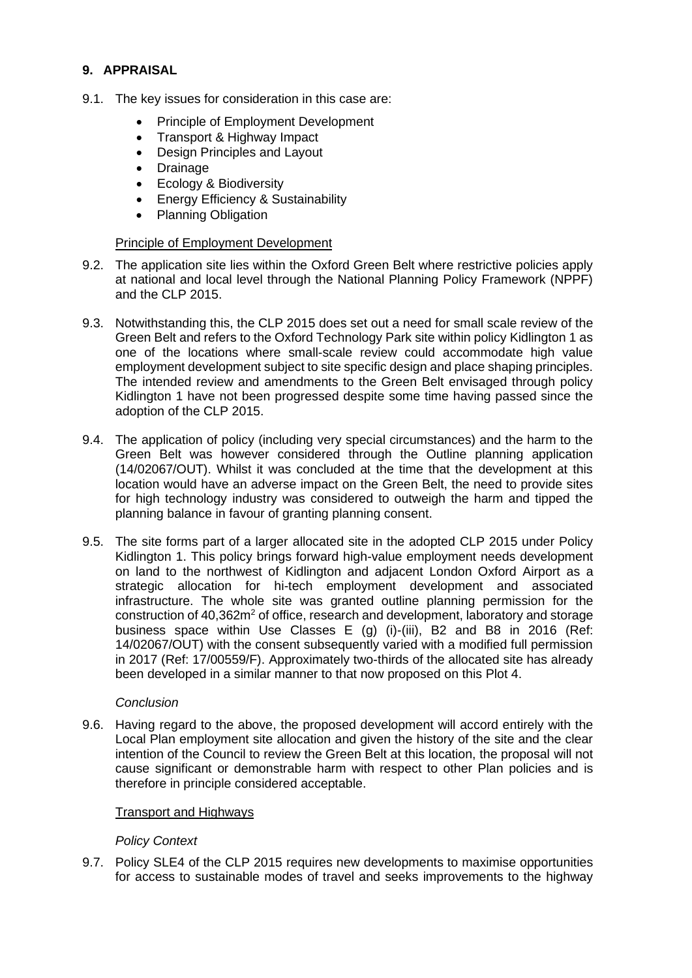# **9. APPRAISAL**

- 9.1. The key issues for consideration in this case are:
	- Principle of Employment Development
	- Transport & Highway Impact
	- Design Principles and Layout
	- Drainage
	- Ecology & Biodiversity
	- Energy Efficiency & Sustainability
	- Planning Obligation

## Principle of Employment Development

- 9.2. The application site lies within the Oxford Green Belt where restrictive policies apply at national and local level through the National Planning Policy Framework (NPPF) and the CLP 2015.
- 9.3. Notwithstanding this, the CLP 2015 does set out a need for small scale review of the Green Belt and refers to the Oxford Technology Park site within policy Kidlington 1 as one of the locations where small-scale review could accommodate high value employment development subject to site specific design and place shaping principles. The intended review and amendments to the Green Belt envisaged through policy Kidlington 1 have not been progressed despite some time having passed since the adoption of the CLP 2015.
- 9.4. The application of policy (including very special circumstances) and the harm to the Green Belt was however considered through the Outline planning application (14/02067/OUT). Whilst it was concluded at the time that the development at this location would have an adverse impact on the Green Belt, the need to provide sites for high technology industry was considered to outweigh the harm and tipped the planning balance in favour of granting planning consent.
- 9.5. The site forms part of a larger allocated site in the adopted CLP 2015 under Policy Kidlington 1. This policy brings forward high-value employment needs development on land to the northwest of Kidlington and adjacent London Oxford Airport as a strategic allocation for hi-tech employment development and associated infrastructure. The whole site was granted outline planning permission for the construction of 40,362m<sup>2</sup> of office, research and development, laboratory and storage business space within Use Classes E (g) (i)-(iii), B2 and B8 in 2016 (Ref: 14/02067/OUT) with the consent subsequently varied with a modified full permission in 2017 (Ref: 17/00559/F). Approximately two-thirds of the allocated site has already been developed in a similar manner to that now proposed on this Plot 4.

#### *Conclusion*

9.6. Having regard to the above, the proposed development will accord entirely with the Local Plan employment site allocation and given the history of the site and the clear intention of the Council to review the Green Belt at this location, the proposal will not cause significant or demonstrable harm with respect to other Plan policies and is therefore in principle considered acceptable.

## Transport and Highways

## *Policy Context*

9.7. Policy SLE4 of the CLP 2015 requires new developments to maximise opportunities for access to sustainable modes of travel and seeks improvements to the highway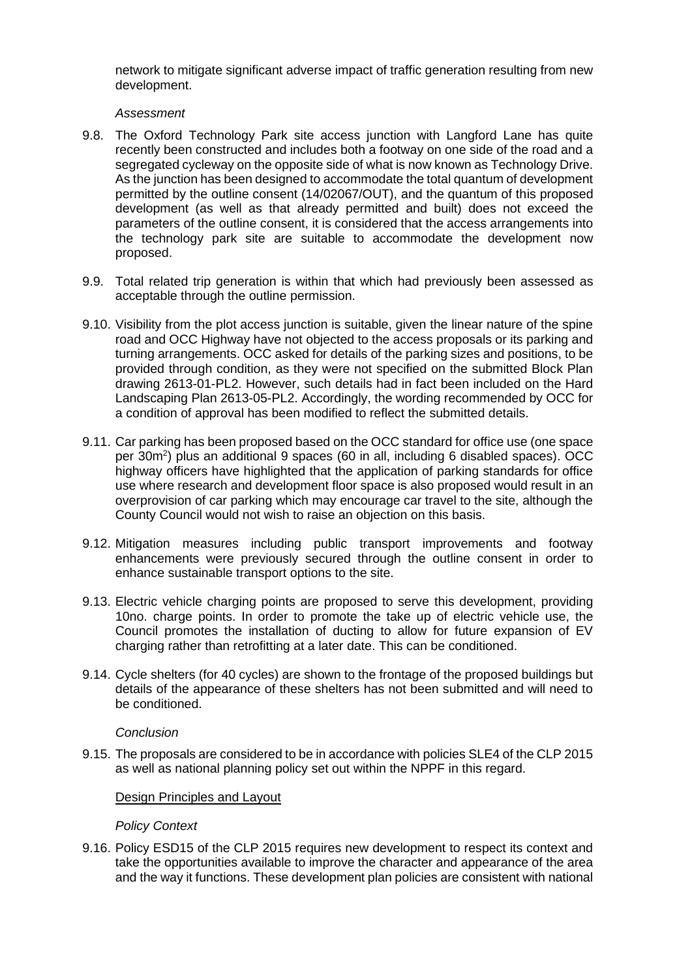network to mitigate significant adverse impact of traffic generation resulting from new development.

### *Assessment*

- 9.8. The Oxford Technology Park site access junction with Langford Lane has quite recently been constructed and includes both a footway on one side of the road and a segregated cycleway on the opposite side of what is now known as Technology Drive. As the junction has been designed to accommodate the total quantum of development permitted by the outline consent (14/02067/OUT), and the quantum of this proposed development (as well as that already permitted and built) does not exceed the parameters of the outline consent, it is considered that the access arrangements into the technology park site are suitable to accommodate the development now proposed.
- 9.9. Total related trip generation is within that which had previously been assessed as acceptable through the outline permission.
- 9.10. Visibility from the plot access junction is suitable, given the linear nature of the spine road and OCC Highway have not objected to the access proposals or its parking and turning arrangements. OCC asked for details of the parking sizes and positions, to be provided through condition, as they were not specified on the submitted Block Plan drawing 2613-01-PL2. However, such details had in fact been included on the Hard Landscaping Plan 2613-05-PL2. Accordingly, the wording recommended by OCC for a condition of approval has been modified to reflect the submitted details.
- 9.11. Car parking has been proposed based on the OCC standard for office use (one space per 30m<sup>2</sup> ) plus an additional 9 spaces (60 in all, including 6 disabled spaces). OCC highway officers have highlighted that the application of parking standards for office use where research and development floor space is also proposed would result in an overprovision of car parking which may encourage car travel to the site, although the County Council would not wish to raise an objection on this basis.
- 9.12. Mitigation measures including public transport improvements and footway enhancements were previously secured through the outline consent in order to enhance sustainable transport options to the site.
- 9.13. Electric vehicle charging points are proposed to serve this development, providing 10no. charge points. In order to promote the take up of electric vehicle use, the Council promotes the installation of ducting to allow for future expansion of EV charging rather than retrofitting at a later date. This can be conditioned.
- 9.14. Cycle shelters (for 40 cycles) are shown to the frontage of the proposed buildings but details of the appearance of these shelters has not been submitted and will need to be conditioned.

#### *Conclusion*

9.15. The proposals are considered to be in accordance with policies SLE4 of the CLP 2015 as well as national planning policy set out within the NPPF in this regard.

#### Design Principles and Layout

## *Policy Context*

9.16. Policy ESD15 of the CLP 2015 requires new development to respect its context and take the opportunities available to improve the character and appearance of the area and the way it functions. These development plan policies are consistent with national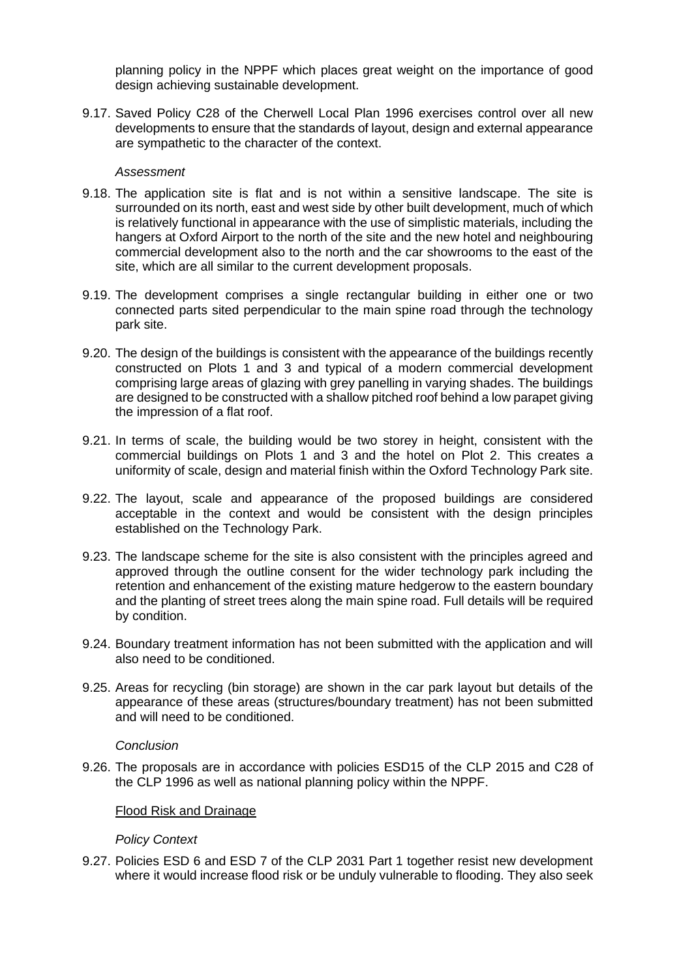planning policy in the NPPF which places great weight on the importance of good design achieving sustainable development.

9.17. Saved Policy C28 of the Cherwell Local Plan 1996 exercises control over all new developments to ensure that the standards of layout, design and external appearance are sympathetic to the character of the context.

#### *Assessment*

- 9.18. The application site is flat and is not within a sensitive landscape. The site is surrounded on its north, east and west side by other built development, much of which is relatively functional in appearance with the use of simplistic materials, including the hangers at Oxford Airport to the north of the site and the new hotel and neighbouring commercial development also to the north and the car showrooms to the east of the site, which are all similar to the current development proposals.
- 9.19. The development comprises a single rectangular building in either one or two connected parts sited perpendicular to the main spine road through the technology park site.
- 9.20. The design of the buildings is consistent with the appearance of the buildings recently constructed on Plots 1 and 3 and typical of a modern commercial development comprising large areas of glazing with grey panelling in varying shades. The buildings are designed to be constructed with a shallow pitched roof behind a low parapet giving the impression of a flat roof.
- 9.21. In terms of scale, the building would be two storey in height, consistent with the commercial buildings on Plots 1 and 3 and the hotel on Plot 2. This creates a uniformity of scale, design and material finish within the Oxford Technology Park site.
- 9.22. The layout, scale and appearance of the proposed buildings are considered acceptable in the context and would be consistent with the design principles established on the Technology Park.
- 9.23. The landscape scheme for the site is also consistent with the principles agreed and approved through the outline consent for the wider technology park including the retention and enhancement of the existing mature hedgerow to the eastern boundary and the planting of street trees along the main spine road. Full details will be required by condition.
- 9.24. Boundary treatment information has not been submitted with the application and will also need to be conditioned.
- 9.25. Areas for recycling (bin storage) are shown in the car park layout but details of the appearance of these areas (structures/boundary treatment) has not been submitted and will need to be conditioned.

#### *Conclusion*

9.26. The proposals are in accordance with policies ESD15 of the CLP 2015 and C28 of the CLP 1996 as well as national planning policy within the NPPF.

#### Flood Risk and Drainage

#### *Policy Context*

9.27. Policies ESD 6 and ESD 7 of the CLP 2031 Part 1 together resist new development where it would increase flood risk or be unduly vulnerable to flooding. They also seek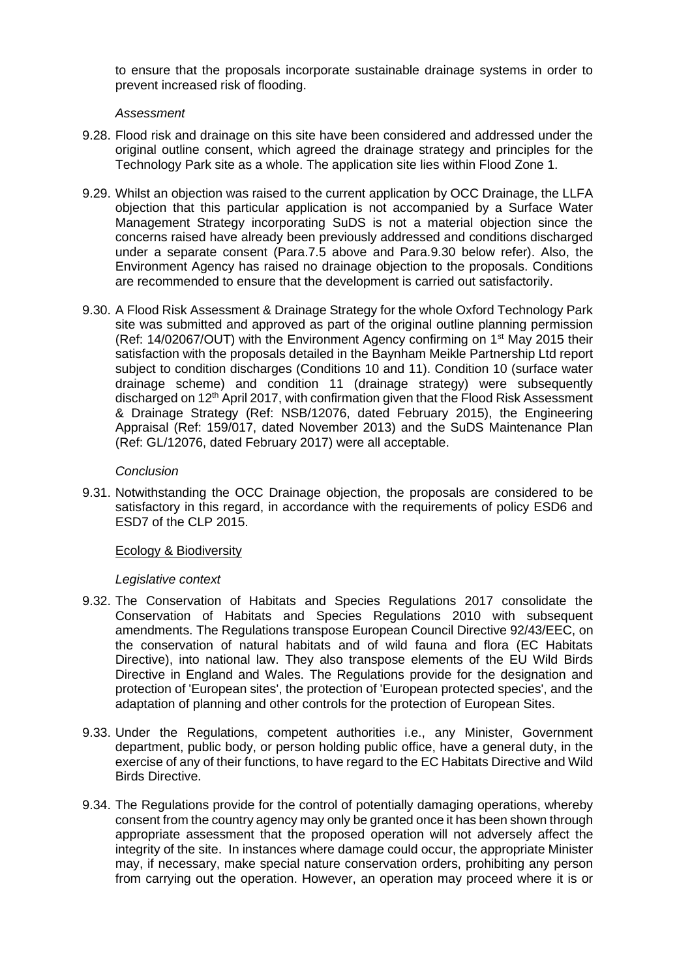to ensure that the proposals incorporate sustainable drainage systems in order to prevent increased risk of flooding.

### *Assessment*

- 9.28. Flood risk and drainage on this site have been considered and addressed under the original outline consent, which agreed the drainage strategy and principles for the Technology Park site as a whole. The application site lies within Flood Zone 1.
- 9.29. Whilst an objection was raised to the current application by OCC Drainage, the LLFA objection that this particular application is not accompanied by a Surface Water Management Strategy incorporating SuDS is not a material objection since the concerns raised have already been previously addressed and conditions discharged under a separate consent (Para.7.5 above and Para.9.30 below refer). Also, the Environment Agency has raised no drainage objection to the proposals. Conditions are recommended to ensure that the development is carried out satisfactorily.
- 9.30. A Flood Risk Assessment & Drainage Strategy for the whole Oxford Technology Park site was submitted and approved as part of the original outline planning permission (Ref:  $14/02067/$ OUT) with the Environment Agency confirming on  $1<sup>st</sup>$  May 2015 their satisfaction with the proposals detailed in the Baynham Meikle Partnership Ltd report subject to condition discharges (Conditions 10 and 11). Condition 10 (surface water drainage scheme) and condition 11 (drainage strategy) were subsequently discharged on 12<sup>th</sup> April 2017, with confirmation given that the Flood Risk Assessment & Drainage Strategy (Ref: NSB/12076, dated February 2015), the Engineering Appraisal (Ref: 159/017, dated November 2013) and the SuDS Maintenance Plan (Ref: GL/12076, dated February 2017) were all acceptable.

## *Conclusion*

9.31. Notwithstanding the OCC Drainage objection, the proposals are considered to be satisfactory in this regard, in accordance with the requirements of policy ESD6 and ESD7 of the CLP 2015.

## Ecology & Biodiversity

#### *Legislative context*

- 9.32. The Conservation of Habitats and Species Regulations 2017 consolidate the Conservation of Habitats and Species Regulations 2010 with subsequent amendments. The Regulations transpose European Council Directive 92/43/EEC, on the conservation of natural habitats and of wild fauna and flora (EC Habitats Directive), into national law. They also transpose elements of the EU Wild Birds Directive in England and Wales. The Regulations provide for the designation and protection of 'European sites', the protection of 'European protected species', and the adaptation of planning and other controls for the protection of European Sites.
- 9.33. Under the Regulations, competent authorities i.e., any Minister, Government department, public body, or person holding public office, have a general duty, in the exercise of any of their functions, to have regard to the EC Habitats Directive and Wild Birds Directive.
- 9.34. The Regulations provide for the control of potentially damaging operations, whereby consent from the country agency may only be granted once it has been shown through appropriate assessment that the proposed operation will not adversely affect the integrity of the site. In instances where damage could occur, the appropriate Minister may, if necessary, make special nature conservation orders, prohibiting any person from carrying out the operation. However, an operation may proceed where it is or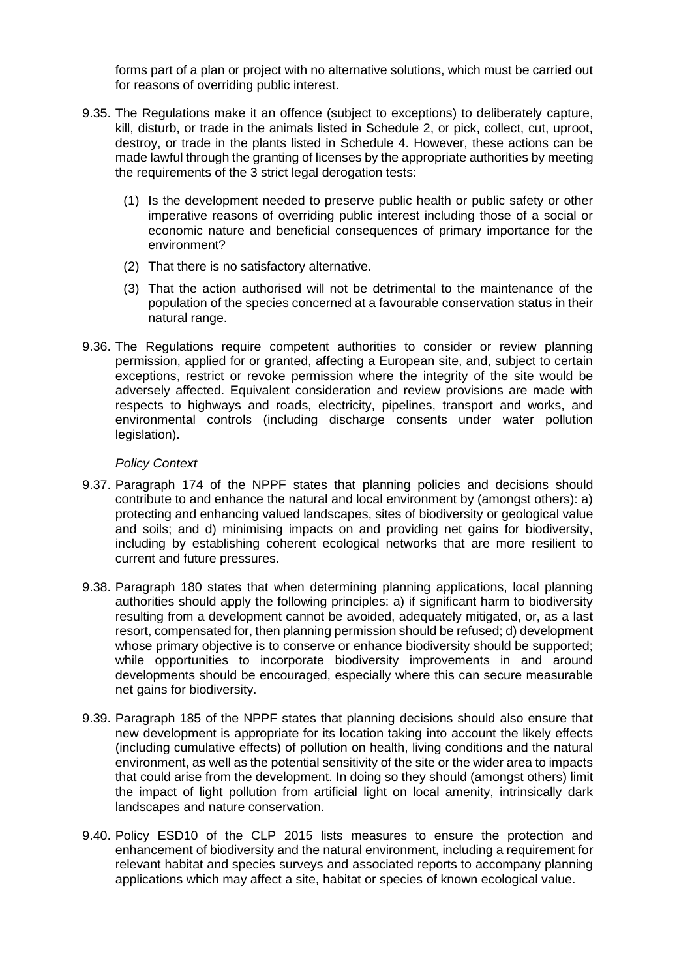forms part of a plan or project with no alternative solutions, which must be carried out for reasons of overriding public interest.

- 9.35. The Regulations make it an offence (subject to exceptions) to deliberately capture, kill, disturb, or trade in the animals listed in Schedule 2, or pick, collect, cut, uproot, destroy, or trade in the plants listed in Schedule 4. However, these actions can be made lawful through the granting of licenses by the appropriate authorities by meeting the requirements of the 3 strict legal derogation tests:
	- (1) Is the development needed to preserve public health or public safety or other imperative reasons of overriding public interest including those of a social or economic nature and beneficial consequences of primary importance for the environment?
	- (2) That there is no satisfactory alternative.
	- (3) That the action authorised will not be detrimental to the maintenance of the population of the species concerned at a favourable conservation status in their natural range.
- 9.36. The Regulations require competent authorities to consider or review planning permission, applied for or granted, affecting a European site, and, subject to certain exceptions, restrict or revoke permission where the integrity of the site would be adversely affected. Equivalent consideration and review provisions are made with respects to highways and roads, electricity, pipelines, transport and works, and environmental controls (including discharge consents under water pollution legislation).

## *Policy Context*

- 9.37. Paragraph 174 of the NPPF states that planning policies and decisions should contribute to and enhance the natural and local environment by (amongst others): a) protecting and enhancing valued landscapes, sites of biodiversity or geological value and soils; and d) minimising impacts on and providing net gains for biodiversity, including by establishing coherent ecological networks that are more resilient to current and future pressures.
- 9.38. Paragraph 180 states that when determining planning applications, local planning authorities should apply the following principles: a) if significant harm to biodiversity resulting from a development cannot be avoided, adequately mitigated, or, as a last resort, compensated for, then planning permission should be refused; d) development whose primary objective is to conserve or enhance biodiversity should be supported; while opportunities to incorporate biodiversity improvements in and around developments should be encouraged, especially where this can secure measurable net gains for biodiversity.
- 9.39. Paragraph 185 of the NPPF states that planning decisions should also ensure that new development is appropriate for its location taking into account the likely effects (including cumulative effects) of pollution on health, living conditions and the natural environment, as well as the potential sensitivity of the site or the wider area to impacts that could arise from the development. In doing so they should (amongst others) limit the impact of light pollution from artificial light on local amenity, intrinsically dark landscapes and nature conservation.
- 9.40. Policy ESD10 of the CLP 2015 lists measures to ensure the protection and enhancement of biodiversity and the natural environment, including a requirement for relevant habitat and species surveys and associated reports to accompany planning applications which may affect a site, habitat or species of known ecological value.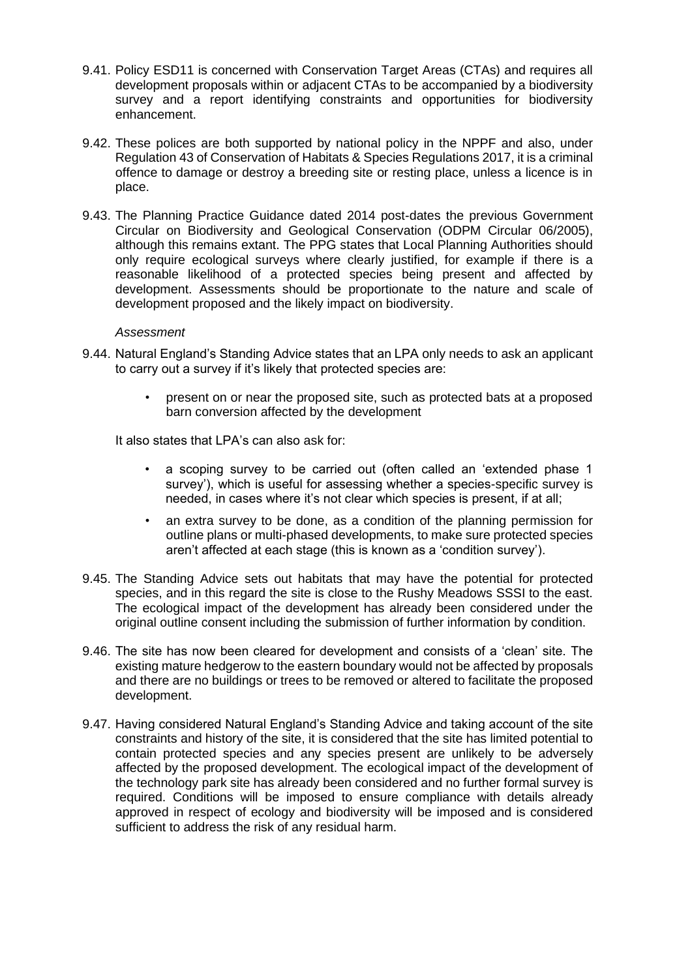- 9.41. Policy ESD11 is concerned with Conservation Target Areas (CTAs) and requires all development proposals within or adjacent CTAs to be accompanied by a biodiversity survey and a report identifying constraints and opportunities for biodiversity enhancement.
- 9.42. These polices are both supported by national policy in the NPPF and also, under Regulation 43 of Conservation of Habitats & Species Regulations 2017, it is a criminal offence to damage or destroy a breeding site or resting place, unless a licence is in place.
- 9.43. The Planning Practice Guidance dated 2014 post-dates the previous Government Circular on Biodiversity and Geological Conservation (ODPM Circular 06/2005), although this remains extant. The PPG states that Local Planning Authorities should only require ecological surveys where clearly justified, for example if there is a reasonable likelihood of a protected species being present and affected by development. Assessments should be proportionate to the nature and scale of development proposed and the likely impact on biodiversity.

#### *Assessment*

- 9.44. Natural England's Standing Advice states that an LPA only needs to ask an applicant to carry out a survey if it's likely that protected species are:
	- present on or near the proposed site, such as protected bats at a proposed barn conversion affected by the development

It also states that LPA's can also ask for:

- a scoping survey to be carried out (often called an 'extended phase 1 survey'), which is useful for assessing whether a species-specific survey is needed, in cases where it's not clear which species is present, if at all;
- an extra survey to be done, as a condition of the planning permission for outline plans or multi-phased developments, to make sure protected species aren't affected at each stage (this is known as a 'condition survey').
- 9.45. The Standing Advice sets out habitats that may have the potential for protected species, and in this regard the site is close to the Rushy Meadows SSSI to the east. The ecological impact of the development has already been considered under the original outline consent including the submission of further information by condition.
- 9.46. The site has now been cleared for development and consists of a 'clean' site. The existing mature hedgerow to the eastern boundary would not be affected by proposals and there are no buildings or trees to be removed or altered to facilitate the proposed development.
- 9.47. Having considered Natural England's Standing Advice and taking account of the site constraints and history of the site, it is considered that the site has limited potential to contain protected species and any species present are unlikely to be adversely affected by the proposed development. The ecological impact of the development of the technology park site has already been considered and no further formal survey is required. Conditions will be imposed to ensure compliance with details already approved in respect of ecology and biodiversity will be imposed and is considered sufficient to address the risk of any residual harm.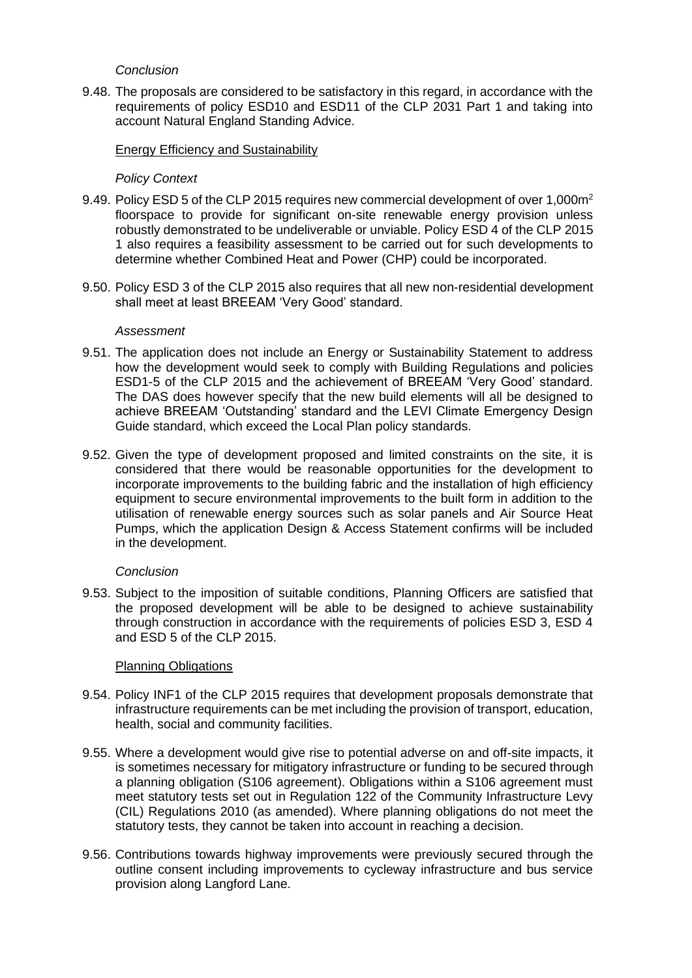## *Conclusion*

9.48. The proposals are considered to be satisfactory in this regard, in accordance with the requirements of policy ESD10 and ESD11 of the CLP 2031 Part 1 and taking into account Natural England Standing Advice.

## Energy Efficiency and Sustainability

## *Policy Context*

- 9.49. Policy ESD 5 of the CLP 2015 requires new commercial development of over 1,000m<sup>2</sup> floorspace to provide for significant on-site renewable energy provision unless robustly demonstrated to be undeliverable or unviable. Policy ESD 4 of the CLP 2015 1 also requires a feasibility assessment to be carried out for such developments to determine whether Combined Heat and Power (CHP) could be incorporated.
- 9.50. Policy ESD 3 of the CLP 2015 also requires that all new non-residential development shall meet at least BREEAM 'Very Good' standard.

#### *Assessment*

- 9.51. The application does not include an Energy or Sustainability Statement to address how the development would seek to comply with Building Regulations and policies ESD1-5 of the CLP 2015 and the achievement of BREEAM 'Very Good' standard. The DAS does however specify that the new build elements will all be designed to achieve BREEAM 'Outstanding' standard and the LEVI Climate Emergency Design Guide standard, which exceed the Local Plan policy standards.
- 9.52. Given the type of development proposed and limited constraints on the site, it is considered that there would be reasonable opportunities for the development to incorporate improvements to the building fabric and the installation of high efficiency equipment to secure environmental improvements to the built form in addition to the utilisation of renewable energy sources such as solar panels and Air Source Heat Pumps, which the application Design & Access Statement confirms will be included in the development.

#### *Conclusion*

9.53. Subject to the imposition of suitable conditions, Planning Officers are satisfied that the proposed development will be able to be designed to achieve sustainability through construction in accordance with the requirements of policies ESD 3, ESD 4 and ESD 5 of the CLP 2015.

#### Planning Obligations

- 9.54. Policy INF1 of the CLP 2015 requires that development proposals demonstrate that infrastructure requirements can be met including the provision of transport, education, health, social and community facilities.
- 9.55. Where a development would give rise to potential adverse on and off-site impacts, it is sometimes necessary for mitigatory infrastructure or funding to be secured through a planning obligation (S106 agreement). Obligations within a S106 agreement must meet statutory tests set out in Regulation 122 of the Community Infrastructure Levy (CIL) Regulations 2010 (as amended). Where planning obligations do not meet the statutory tests, they cannot be taken into account in reaching a decision.
- 9.56. Contributions towards highway improvements were previously secured through the outline consent including improvements to cycleway infrastructure and bus service provision along Langford Lane.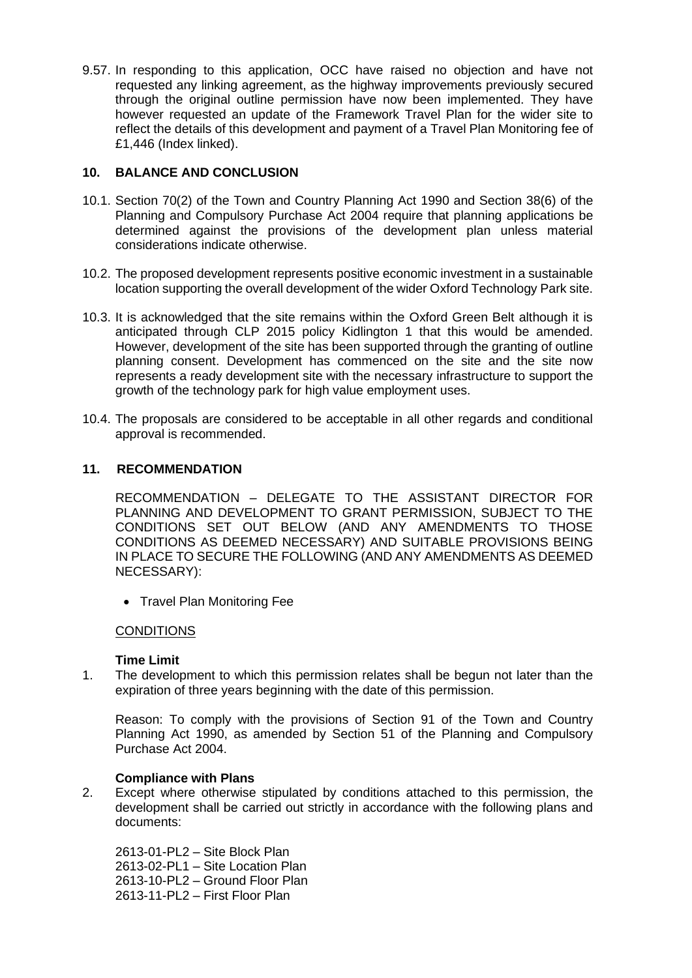9.57. In responding to this application, OCC have raised no objection and have not requested any linking agreement, as the highway improvements previously secured through the original outline permission have now been implemented. They have however requested an update of the Framework Travel Plan for the wider site to reflect the details of this development and payment of a Travel Plan Monitoring fee of £1,446 (Index linked).

# **10. BALANCE AND CONCLUSION**

- 10.1. Section 70(2) of the Town and Country Planning Act 1990 and Section 38(6) of the Planning and Compulsory Purchase Act 2004 require that planning applications be determined against the provisions of the development plan unless material considerations indicate otherwise.
- 10.2. The proposed development represents positive economic investment in a sustainable location supporting the overall development of the wider Oxford Technology Park site.
- 10.3. It is acknowledged that the site remains within the Oxford Green Belt although it is anticipated through CLP 2015 policy Kidlington 1 that this would be amended. However, development of the site has been supported through the granting of outline planning consent. Development has commenced on the site and the site now represents a ready development site with the necessary infrastructure to support the growth of the technology park for high value employment uses.
- 10.4. The proposals are considered to be acceptable in all other regards and conditional approval is recommended.

## **11. RECOMMENDATION**

RECOMMENDATION – DELEGATE TO THE ASSISTANT DIRECTOR FOR PLANNING AND DEVELOPMENT TO GRANT PERMISSION, SUBJECT TO THE CONDITIONS SET OUT BELOW (AND ANY AMENDMENTS TO THOSE CONDITIONS AS DEEMED NECESSARY) AND SUITABLE PROVISIONS BEING IN PLACE TO SECURE THE FOLLOWING (AND ANY AMENDMENTS AS DEEMED NECESSARY):

• Travel Plan Monitoring Fee

## **CONDITIONS**

## **Time Limit**

1. The development to which this permission relates shall be begun not later than the expiration of three years beginning with the date of this permission.

Reason: To comply with the provisions of Section 91 of the Town and Country Planning Act 1990, as amended by Section 51 of the Planning and Compulsory Purchase Act 2004.

## **Compliance with Plans**

2. Except where otherwise stipulated by conditions attached to this permission, the development shall be carried out strictly in accordance with the following plans and documents:

2613-01-PL2 – Site Block Plan 2613-02-PL1 – Site Location Plan 2613-10-PL2 – Ground Floor Plan 2613-11-PL2 – First Floor Plan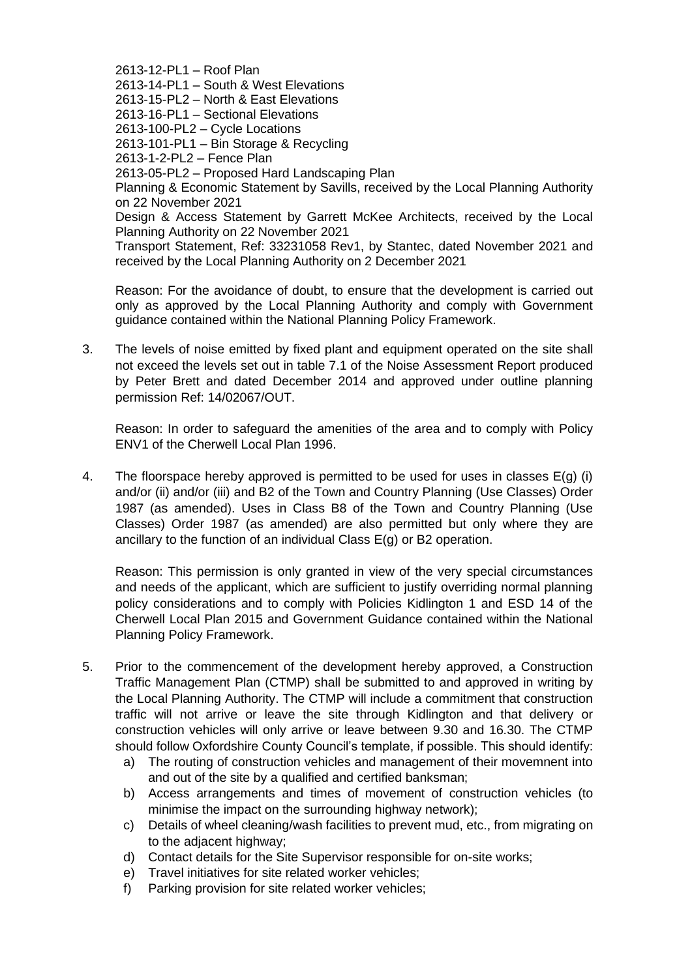2613-12-PL1 – Roof Plan 2613-14-PL1 – South & West Elevations 2613-15-PL2 – North & East Elevations 2613-16-PL1 – Sectional Elevations 2613-100-PL2 – Cycle Locations 2613-101-PL1 – Bin Storage & Recycling 2613-1-2-PL2 – Fence Plan 2613-05-PL2 – Proposed Hard Landscaping Plan Planning & Economic Statement by Savills, received by the Local Planning Authority on 22 November 2021 Design & Access Statement by Garrett McKee Architects, received by the Local Planning Authority on 22 November 2021 Transport Statement, Ref: 33231058 Rev1, by Stantec, dated November 2021 and received by the Local Planning Authority on 2 December 2021

Reason: For the avoidance of doubt, to ensure that the development is carried out only as approved by the Local Planning Authority and comply with Government guidance contained within the National Planning Policy Framework.

3. The levels of noise emitted by fixed plant and equipment operated on the site shall not exceed the levels set out in table 7.1 of the Noise Assessment Report produced by Peter Brett and dated December 2014 and approved under outline planning permission Ref: 14/02067/OUT.

Reason: In order to safeguard the amenities of the area and to comply with Policy ENV1 of the Cherwell Local Plan 1996.

4. The floorspace hereby approved is permitted to be used for uses in classes  $E(g)$  (i) and/or (ii) and/or (iii) and B2 of the Town and Country Planning (Use Classes) Order 1987 (as amended). Uses in Class B8 of the Town and Country Planning (Use Classes) Order 1987 (as amended) are also permitted but only where they are ancillary to the function of an individual Class E(g) or B2 operation.

Reason: This permission is only granted in view of the very special circumstances and needs of the applicant, which are sufficient to justify overriding normal planning policy considerations and to comply with Policies Kidlington 1 and ESD 14 of the Cherwell Local Plan 2015 and Government Guidance contained within the National Planning Policy Framework.

- 5. Prior to the commencement of the development hereby approved, a Construction Traffic Management Plan (CTMP) shall be submitted to and approved in writing by the Local Planning Authority. The CTMP will include a commitment that construction traffic will not arrive or leave the site through Kidlington and that delivery or construction vehicles will only arrive or leave between 9.30 and 16.30. The CTMP should follow Oxfordshire County Council's template, if possible. This should identify:
	- a) The routing of construction vehicles and management of their movemnent into and out of the site by a qualified and certified banksman;
	- b) Access arrangements and times of movement of construction vehicles (to minimise the impact on the surrounding highway network);
	- c) Details of wheel cleaning/wash facilities to prevent mud, etc., from migrating on to the adjacent highway;
	- d) Contact details for the Site Supervisor responsible for on-site works;
	- e) Travel initiatives for site related worker vehicles;
	- f) Parking provision for site related worker vehicles;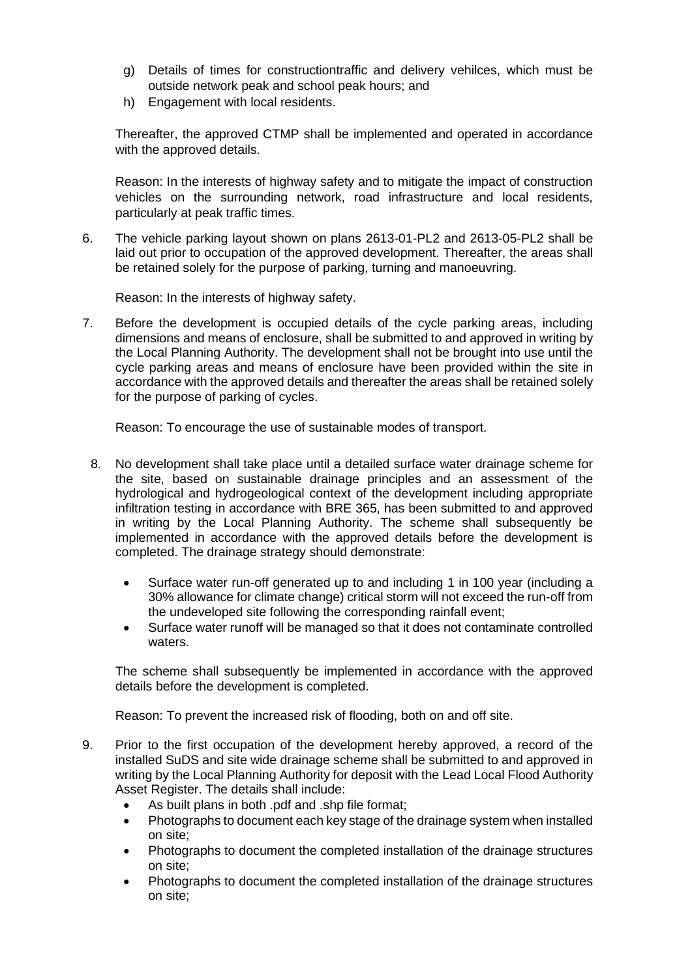- g) Details of times for constructiontraffic and delivery vehilces, which must be outside network peak and school peak hours; and
- h) Engagement with local residents.

Thereafter, the approved CTMP shall be implemented and operated in accordance with the approved details.

Reason: In the interests of highway safety and to mitigate the impact of construction vehicles on the surrounding network, road infrastructure and local residents, particularly at peak traffic times.

6. The vehicle parking layout shown on plans 2613-01-PL2 and 2613-05-PL2 shall be laid out prior to occupation of the approved development. Thereafter, the areas shall be retained solely for the purpose of parking, turning and manoeuvring.

Reason: In the interests of highway safety.

7. Before the development is occupied details of the cycle parking areas, including dimensions and means of enclosure, shall be submitted to and approved in writing by the Local Planning Authority. The development shall not be brought into use until the cycle parking areas and means of enclosure have been provided within the site in accordance with the approved details and thereafter the areas shall be retained solely for the purpose of parking of cycles.

Reason: To encourage the use of sustainable modes of transport.

- 8. No development shall take place until a detailed surface water drainage scheme for the site, based on sustainable drainage principles and an assessment of the hydrological and hydrogeological context of the development including appropriate infiltration testing in accordance with BRE 365, has been submitted to and approved in writing by the Local Planning Authority. The scheme shall subsequently be implemented in accordance with the approved details before the development is completed. The drainage strategy should demonstrate:
	- Surface water run-off generated up to and including 1 in 100 year (including a 30% allowance for climate change) critical storm will not exceed the run-off from the undeveloped site following the corresponding rainfall event;
	- Surface water runoff will be managed so that it does not contaminate controlled waters.

The scheme shall subsequently be implemented in accordance with the approved details before the development is completed.

Reason: To prevent the increased risk of flooding, both on and off site.

- 9. Prior to the first occupation of the development hereby approved, a record of the installed SuDS and site wide drainage scheme shall be submitted to and approved in writing by the Local Planning Authority for deposit with the Lead Local Flood Authority Asset Register. The details shall include:
	- As built plans in both .pdf and .shp file format;
	- Photographs to document each key stage of the drainage system when installed on site;
	- Photographs to document the completed installation of the drainage structures on site;
	- Photographs to document the completed installation of the drainage structures on site;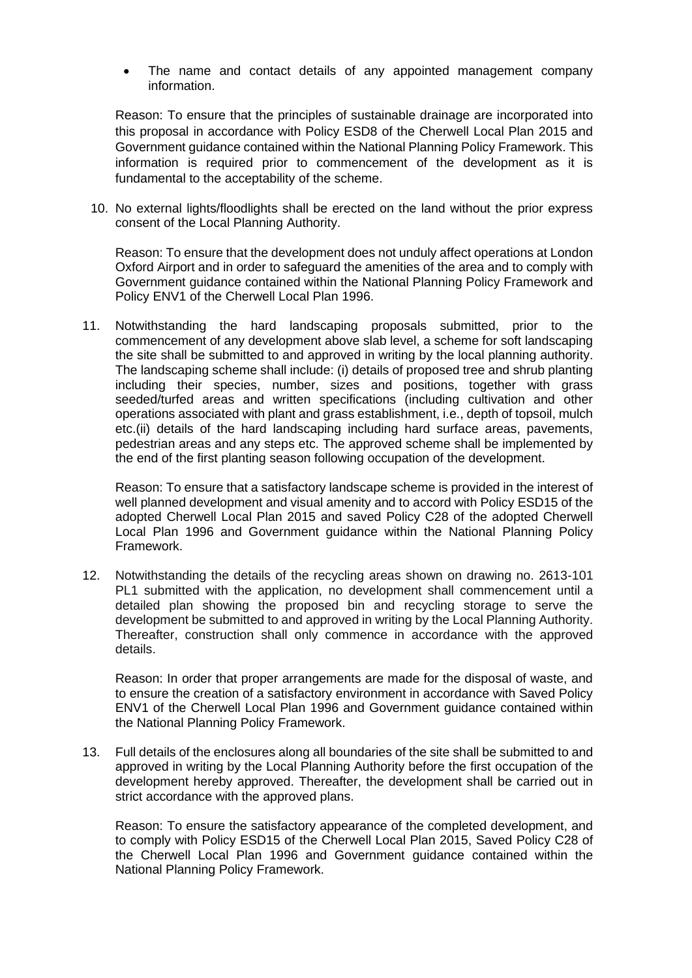The name and contact details of any appointed management company information.

Reason: To ensure that the principles of sustainable drainage are incorporated into this proposal in accordance with Policy ESD8 of the Cherwell Local Plan 2015 and Government guidance contained within the National Planning Policy Framework. This information is required prior to commencement of the development as it is fundamental to the acceptability of the scheme.

10. No external lights/floodlights shall be erected on the land without the prior express consent of the Local Planning Authority.

Reason: To ensure that the development does not unduly affect operations at London Oxford Airport and in order to safeguard the amenities of the area and to comply with Government guidance contained within the National Planning Policy Framework and Policy ENV1 of the Cherwell Local Plan 1996.

11. Notwithstanding the hard landscaping proposals submitted, prior to the commencement of any development above slab level, a scheme for soft landscaping the site shall be submitted to and approved in writing by the local planning authority. The landscaping scheme shall include: (i) details of proposed tree and shrub planting including their species, number, sizes and positions, together with grass seeded/turfed areas and written specifications (including cultivation and other operations associated with plant and grass establishment, i.e., depth of topsoil, mulch etc.(ii) details of the hard landscaping including hard surface areas, pavements, pedestrian areas and any steps etc. The approved scheme shall be implemented by the end of the first planting season following occupation of the development.

Reason: To ensure that a satisfactory landscape scheme is provided in the interest of well planned development and visual amenity and to accord with Policy ESD15 of the adopted Cherwell Local Plan 2015 and saved Policy C28 of the adopted Cherwell Local Plan 1996 and Government guidance within the National Planning Policy Framework.

12. Notwithstanding the details of the recycling areas shown on drawing no. 2613-101 PL1 submitted with the application, no development shall commencement until a detailed plan showing the proposed bin and recycling storage to serve the development be submitted to and approved in writing by the Local Planning Authority. Thereafter, construction shall only commence in accordance with the approved details.

Reason: In order that proper arrangements are made for the disposal of waste, and to ensure the creation of a satisfactory environment in accordance with Saved Policy ENV1 of the Cherwell Local Plan 1996 and Government guidance contained within the National Planning Policy Framework.

13. Full details of the enclosures along all boundaries of the site shall be submitted to and approved in writing by the Local Planning Authority before the first occupation of the development hereby approved. Thereafter, the development shall be carried out in strict accordance with the approved plans.

Reason: To ensure the satisfactory appearance of the completed development, and to comply with Policy ESD15 of the Cherwell Local Plan 2015, Saved Policy C28 of the Cherwell Local Plan 1996 and Government guidance contained within the National Planning Policy Framework.